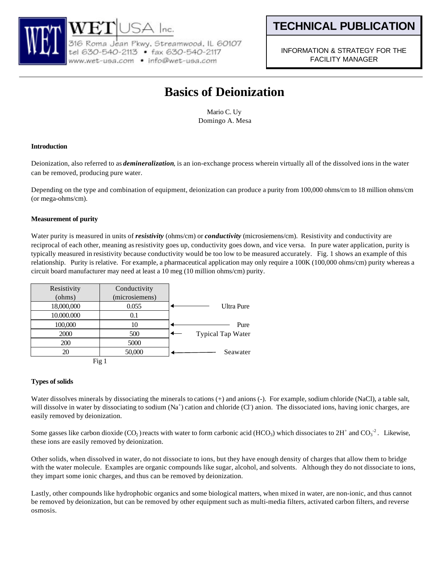



Jean Pkwy, Streamwood, IL 60107 tel 630-540-2113 · fax 630-540-2117 www.wet-usa.com · info@wet-usa.com

**TECHNICAL PUBLICATION**

INFORMATION & STRATEGY FOR THE FACILITY MANAGER

# **Basics of Deionization**

Mario C. Uy Domingo A. Mesa

# **Introduction**

Deionization, also referred to as *demineralization*, is an ion-exchange process wherein virtually all of the dissolved ions in the water can be removed, producing pure water.

Depending on the type and combination of equipment, deionization can produce a purity from 100,000 ohms/cm to 18 million ohms/cm (or mega-ohms/cm).

# **Measurement of purity**

Water purity is measured in units of *resistivity* (ohms/cm) or *conductivity* (microsiemens/cm). Resistivity and conductivity are reciprocal of each other, meaning as resistivity goes up, conductivity goes down, and vice versa. In pure water application, purity is typically measured in resistivity because conductivity would be too low to be measured accurately. Fig. 1 shows an example of this relationship. Purity is relative. For example, a pharmaceutical application may only require a 100K (100,000 ohms/cm) purity whereas a circuit board manufacturer may need at least a 10 meg (10 million ohms/cm) purity.

|                          | Conductivity   | Resistivity |
|--------------------------|----------------|-------------|
|                          | (microsiemens) | (ohms)      |
| Ultra Pure               | 0.055          | 18,000,000  |
|                          | 0.1            | 10.000.000  |
| Pure                     | 10             | 100,000     |
| <b>Typical Tap Water</b> | 500            | 2000        |
|                          | 5000           | 200         |
| Seawater                 | 50,000         | 20          |
|                          |                | Fig 1       |

## **Types of solids**

Water dissolves minerals by dissociating the minerals to cations (+) and anions (-). For example, sodium chloride (NaCl), a table salt, will dissolve in water by dissociating to sodium  $(Na^+)$  cation and chloride  $(CI)$  anion. The dissociated ions, having ionic charges, are easily removed by deionization.

Some gasses like carbon dioxide (CO<sub>2</sub>) reacts with water to form carbonic acid (HCO<sub>3</sub>) which dissociates to 2H<sup>+</sup> and CO<sub>3</sub><sup>-2</sup>. Likewise, these ions are easily removed by deionization.

Other solids, when dissolved in water, do not dissociate to ions, but they have enough density of charges that allow them to bridge with the water molecule. Examples are organic compounds like sugar, alcohol, and solvents. Although they do not dissociate to ions, they impart some ionic charges, and thus can be removed by deionization.

Lastly, other compounds like hydrophobic organics and some biological matters, when mixed in water, are non-ionic, and thus cannot be removed by deionization, but can be removed by other equipment such as multi-media filters, activated carbon filters, and reverse osmosis.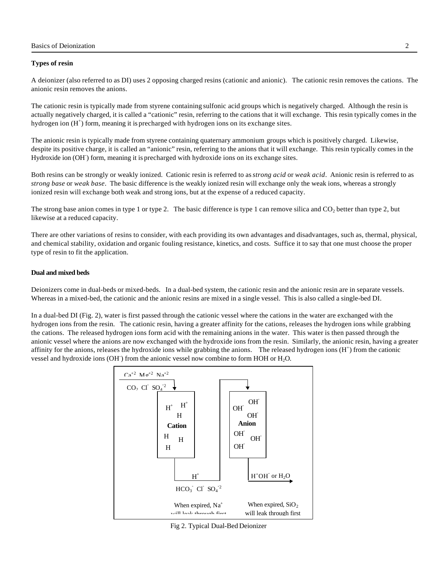## **Types of resin**

A deionizer (also referred to as DI) uses 2 opposing charged resins (cationic and anionic). The cationic resin removes the cations. The anionic resin removes the anions.

The cationic resin is typically made from styrene containing sulfonic acid groups which is negatively charged. Although the resin is actually negatively charged, it is called a "cationic" resin, referring to the cations that it will exchange. This resin typically comes in the hydrogen ion  $(H^+)$  form, meaning it is precharged with hydrogen ions on its exchange sites.

The anionic resin is typically made from styrene containing quaternary ammonium groups which is positively charged. Likewise, despite its positive charge, it is called an "anionic" resin, referring to the anions that it will exchange. This resin typically comes in the Hydroxide ion (OH- ) form, meaning it is precharged with hydroxide ions on its exchange sites.

Both resins can be strongly or weakly ionized. Cationic resin is referred to as *strong acid* or *weak acid*. Anionic resin is referred to as *strong base* or *weak base*. The basic difference is the weakly ionized resin will exchange only the weak ions, whereas a strongly ionized resin will exchange both weak and strong ions, but at the expense of a reduced capacity.

The strong base anion comes in type 1 or type 2. The basic difference is type 1 can remove silica and  $CO<sub>2</sub>$  better than type 2, but likewise at a reduced capacity.

There are other variations of resins to consider, with each providing its own advantages and disadvantages, such as, thermal, physical, and chemical stability, oxidation and organic fouling resistance, kinetics, and costs. Suffice it to say that one must choose the proper type of resin to fit the application.

## **Dual and mixed beds**

Deionizers come in dual-beds or mixed-beds. In a dual-bed system, the cationic resin and the anionic resin are in separate vessels. Whereas in a mixed-bed, the cationic and the anionic resins are mixed in a single vessel. This is also called a single-bed DI.

In a dual-bed DI (Fig. 2), water is first passed through the cationic vessel where the cations in the water are exchanged with the hydrogen ions from the resin. The cationic resin, having a greater affinity for the cations, releases the hydrogen ions while grabbing the cations. The released hydrogen ions form acid with the remaining anions in the water. This water is then passed through the anionic vessel where the anions are now exchanged with the hydroxide ions from the resin. Similarly, the anionic resin, having a greater affinity for the anions, releases the hydroxide ions while grabbing the anions. The released hydrogen ions  $(H^+)$  from the cationic vessel and hydroxide ions (OH) from the anionic vessel now combine to form HOH or  $H_2O$ .



Fig 2. Typical Dual-Bed Deionizer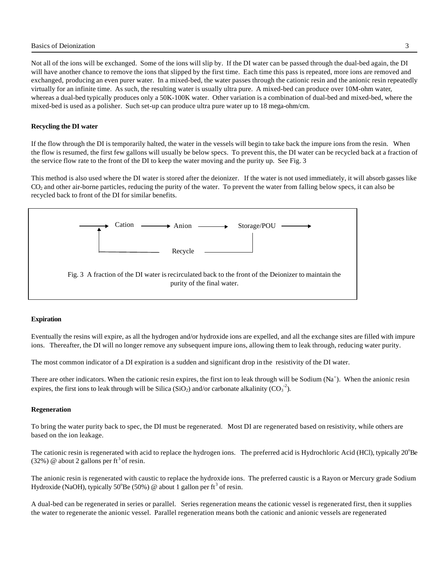#### Basics of Deionization 3

Not all of the ions will be exchanged. Some of the ions will slip by. If the DI water can be passed through the dual-bed again, the DI will have another chance to remove the ions that slipped by the first time. Each time this pass is repeated, more ions are removed and exchanged, producing an even purer water. In a mixed-bed, the water passes through the cationic resin and the anionic resin repeatedly virtually for an infinite time. As such, the resulting water is usually ultra pure. A mixed-bed can produce over 10M-ohm water, whereas a dual-bed typically produces only a 50K-100K water. Other variation is a combination of dual-bed and mixed-bed, where the mixed-bed is used as a polisher. Such set-up can produce ultra pure water up to 18 mega-ohm/cm.

### **Recycling the DI water**

If the flow through the DI is temporarily halted, the water in the vessels will begin to take back the impure ions from the resin. When the flow is resumed, the first few gallons will usually be below specs. To prevent this, the DI water can be recycled back at a fraction of the service flow rate to the front of the DI to keep the water moving and the purity up. See Fig. 3

This method is also used where the DI water is stored after the deionizer. If the water is not used immediately, it will absorb gasses like  $CO<sub>2</sub>$  and other air-borne particles, reducing the purity of the water. To prevent the water from falling below specs, it can also be recycled back to front of the DI for similar benefits.



#### **Expiration**

Eventually the resins will expire, as all the hydrogen and/or hydroxide ions are expelled, and all the exchange sites are filled with impure ions. Thereafter, the DI will no longer remove any subsequent impure ions, allowing them to leak through, reducing water purity.

The most common indicator of a DI expiration is a sudden and significant drop in the resistivity of the DI water.

There are other indicators. When the cationic resin expires, the first ion to leak through will be Sodium  $(Na^+)$ . When the anionic resin expires, the first ions to leak through will be Silica (SiO<sub>2</sub>) and/or carbonate alkalinity (CO<sub>3</sub><sup>-2</sup>).

#### **Regeneration**

To bring the water purity back to spec, the DI must be regenerated. Most DI are regenerated based on resistivity, while others are based on the ion leakage.

The cationic resin is regenerated with acid to replace the hydrogen ions. The preferred acid is Hydrochloric Acid (HCl), typically 20°Be (32%) @ about 2 gallons per  $\text{ft}^3$  of resin.

The anionic resin is regenerated with caustic to replace the hydroxide ions. The preferred caustic is a Rayon or Mercury grade Sodium Hydroxide (NaOH), typically 50°Be (50%) @ about 1 gallon per ft<sup>3</sup> of resin.

A dual-bed can be regenerated in series or parallel. Series regeneration means the cationic vessel is regenerated first, then it supplies the water to regenerate the anionic vessel. Parallel regeneration means both the cationic and anionic vessels are regenerated